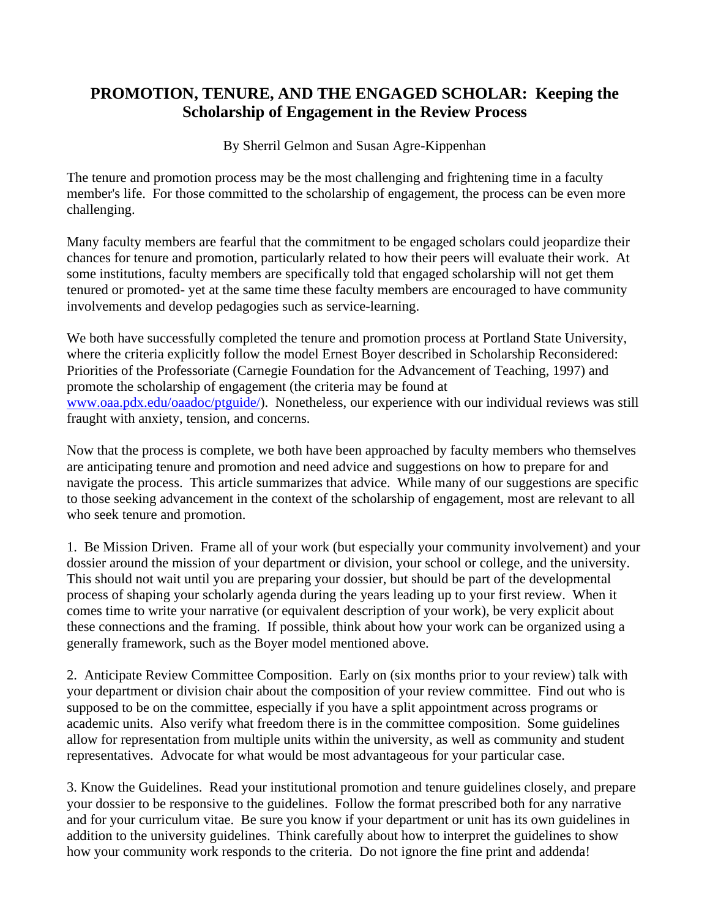## **PROMOTION, TENURE, AND THE ENGAGED SCHOLAR: Keeping the Scholarship of Engagement in the Review Process**

By Sherril Gelmon and Susan Agre-Kippenhan

The tenure and promotion process may be the most challenging and frightening time in a faculty member's life. For those committed to the scholarship of engagement, the process can be even more challenging.

Many faculty members are fearful that the commitment to be engaged scholars could jeopardize their chances for tenure and promotion, particularly related to how their peers will evaluate their work. At some institutions, faculty members are specifically told that engaged scholarship will not get them tenured or promoted- yet at the same time these faculty members are encouraged to have community involvements and develop pedagogies such as service-learning.

We both have successfully completed the tenure and promotion process at Portland State University, where the criteria explicitly follow the model Ernest Boyer described in Scholarship Reconsidered: Priorities of the Professoriate (Carnegie Foundation for the Advancement of Teaching, 1997) and promote the scholarship of engagement (the criteria may be found at [www.oaa.pdx.edu/oaadoc/ptguide/\)](http://www.oaa.pdx.edu/oaadoc/ptguide/). Nonetheless, our experience with our individual reviews was still fraught with anxiety, tension, and concerns.

Now that the process is complete, we both have been approached by faculty members who themselves are anticipating tenure and promotion and need advice and suggestions on how to prepare for and navigate the process. This article summarizes that advice. While many of our suggestions are specific to those seeking advancement in the context of the scholarship of engagement, most are relevant to all who seek tenure and promotion.

1. Be Mission Driven. Frame all of your work (but especially your community involvement) and your dossier around the mission of your department or division, your school or college, and the university. This should not wait until you are preparing your dossier, but should be part of the developmental process of shaping your scholarly agenda during the years leading up to your first review. When it comes time to write your narrative (or equivalent description of your work), be very explicit about these connections and the framing. If possible, think about how your work can be organized using a generally framework, such as the Boyer model mentioned above.

2. Anticipate Review Committee Composition. Early on (six months prior to your review) talk with your department or division chair about the composition of your review committee. Find out who is supposed to be on the committee, especially if you have a split appointment across programs or academic units. Also verify what freedom there is in the committee composition. Some guidelines allow for representation from multiple units within the university, as well as community and student representatives. Advocate for what would be most advantageous for your particular case.

3. Know the Guidelines. Read your institutional promotion and tenure guidelines closely, and prepare your dossier to be responsive to the guidelines. Follow the format prescribed both for any narrative and for your curriculum vitae. Be sure you know if your department or unit has its own guidelines in addition to the university guidelines. Think carefully about how to interpret the guidelines to show how your community work responds to the criteria. Do not ignore the fine print and addenda!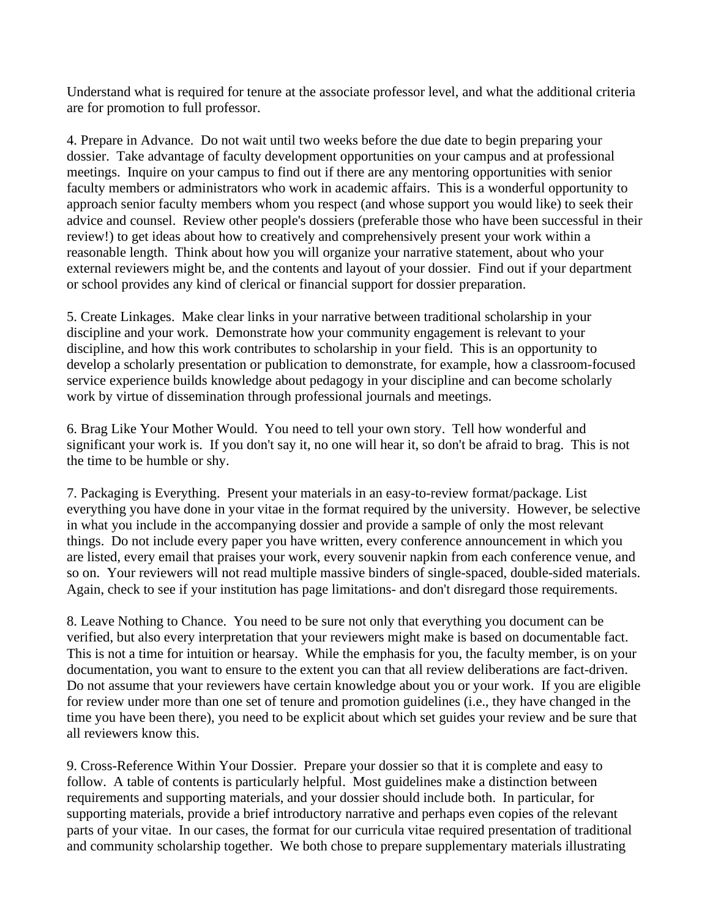Understand what is required for tenure at the associate professor level, and what the additional criteria are for promotion to full professor.

4. Prepare in Advance. Do not wait until two weeks before the due date to begin preparing your dossier. Take advantage of faculty development opportunities on your campus and at professional meetings. Inquire on your campus to find out if there are any mentoring opportunities with senior faculty members or administrators who work in academic affairs. This is a wonderful opportunity to approach senior faculty members whom you respect (and whose support you would like) to seek their advice and counsel. Review other people's dossiers (preferable those who have been successful in their review!) to get ideas about how to creatively and comprehensively present your work within a reasonable length. Think about how you will organize your narrative statement, about who your external reviewers might be, and the contents and layout of your dossier. Find out if your department or school provides any kind of clerical or financial support for dossier preparation.

5. Create Linkages. Make clear links in your narrative between traditional scholarship in your discipline and your work. Demonstrate how your community engagement is relevant to your discipline, and how this work contributes to scholarship in your field. This is an opportunity to develop a scholarly presentation or publication to demonstrate, for example, how a classroom-focused service experience builds knowledge about pedagogy in your discipline and can become scholarly work by virtue of dissemination through professional journals and meetings.

6. Brag Like Your Mother Would. You need to tell your own story. Tell how wonderful and significant your work is. If you don't say it, no one will hear it, so don't be afraid to brag. This is not the time to be humble or shy.

7. Packaging is Everything. Present your materials in an easy-to-review format/package. List everything you have done in your vitae in the format required by the university. However, be selective in what you include in the accompanying dossier and provide a sample of only the most relevant things. Do not include every paper you have written, every conference announcement in which you are listed, every email that praises your work, every souvenir napkin from each conference venue, and so on. Your reviewers will not read multiple massive binders of single-spaced, double-sided materials. Again, check to see if your institution has page limitations- and don't disregard those requirements.

8. Leave Nothing to Chance. You need to be sure not only that everything you document can be verified, but also every interpretation that your reviewers might make is based on documentable fact. This is not a time for intuition or hearsay. While the emphasis for you, the faculty member, is on your documentation, you want to ensure to the extent you can that all review deliberations are fact-driven. Do not assume that your reviewers have certain knowledge about you or your work. If you are eligible for review under more than one set of tenure and promotion guidelines (i.e., they have changed in the time you have been there), you need to be explicit about which set guides your review and be sure that all reviewers know this.

9. Cross-Reference Within Your Dossier. Prepare your dossier so that it is complete and easy to follow. A table of contents is particularly helpful. Most guidelines make a distinction between requirements and supporting materials, and your dossier should include both. In particular, for supporting materials, provide a brief introductory narrative and perhaps even copies of the relevant parts of your vitae. In our cases, the format for our curricula vitae required presentation of traditional and community scholarship together. We both chose to prepare supplementary materials illustrating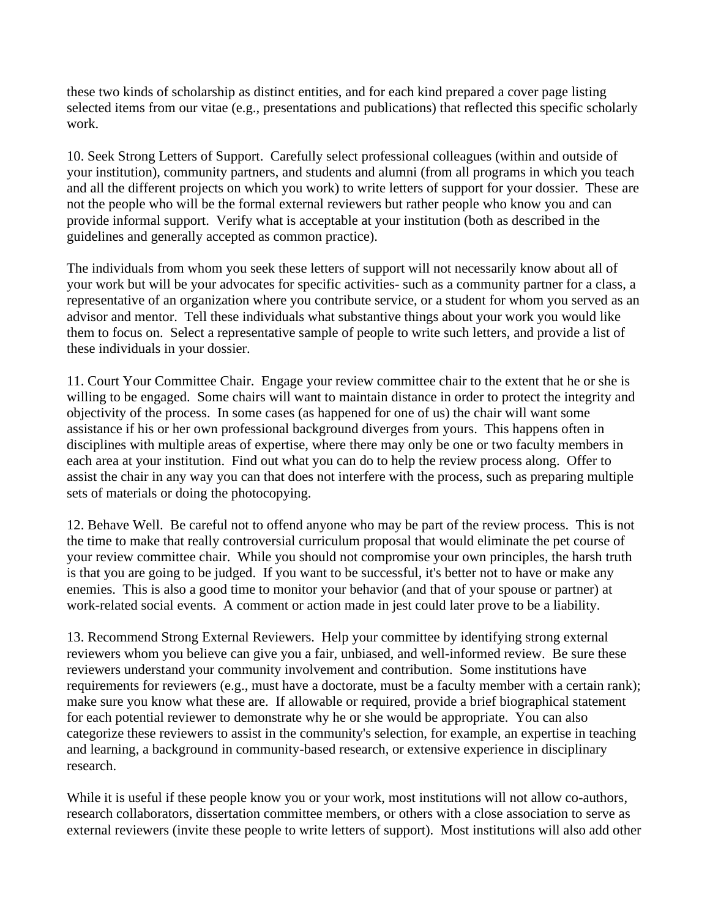these two kinds of scholarship as distinct entities, and for each kind prepared a cover page listing selected items from our vitae (e.g., presentations and publications) that reflected this specific scholarly work.

10. Seek Strong Letters of Support. Carefully select professional colleagues (within and outside of your institution), community partners, and students and alumni (from all programs in which you teach and all the different projects on which you work) to write letters of support for your dossier. These are not the people who will be the formal external reviewers but rather people who know you and can provide informal support. Verify what is acceptable at your institution (both as described in the guidelines and generally accepted as common practice).

The individuals from whom you seek these letters of support will not necessarily know about all of your work but will be your advocates for specific activities- such as a community partner for a class, a representative of an organization where you contribute service, or a student for whom you served as an advisor and mentor. Tell these individuals what substantive things about your work you would like them to focus on. Select a representative sample of people to write such letters, and provide a list of these individuals in your dossier.

11. Court Your Committee Chair. Engage your review committee chair to the extent that he or she is willing to be engaged. Some chairs will want to maintain distance in order to protect the integrity and objectivity of the process. In some cases (as happened for one of us) the chair will want some assistance if his or her own professional background diverges from yours. This happens often in disciplines with multiple areas of expertise, where there may only be one or two faculty members in each area at your institution. Find out what you can do to help the review process along. Offer to assist the chair in any way you can that does not interfere with the process, such as preparing multiple sets of materials or doing the photocopying.

12. Behave Well. Be careful not to offend anyone who may be part of the review process. This is not the time to make that really controversial curriculum proposal that would eliminate the pet course of your review committee chair. While you should not compromise your own principles, the harsh truth is that you are going to be judged. If you want to be successful, it's better not to have or make any enemies. This is also a good time to monitor your behavior (and that of your spouse or partner) at work-related social events. A comment or action made in jest could later prove to be a liability.

13. Recommend Strong External Reviewers. Help your committee by identifying strong external reviewers whom you believe can give you a fair, unbiased, and well-informed review. Be sure these reviewers understand your community involvement and contribution. Some institutions have requirements for reviewers (e.g., must have a doctorate, must be a faculty member with a certain rank); make sure you know what these are. If allowable or required, provide a brief biographical statement for each potential reviewer to demonstrate why he or she would be appropriate. You can also categorize these reviewers to assist in the community's selection, for example, an expertise in teaching and learning, a background in community-based research, or extensive experience in disciplinary research.

While it is useful if these people know you or your work, most institutions will not allow co-authors, research collaborators, dissertation committee members, or others with a close association to serve as external reviewers (invite these people to write letters of support). Most institutions will also add other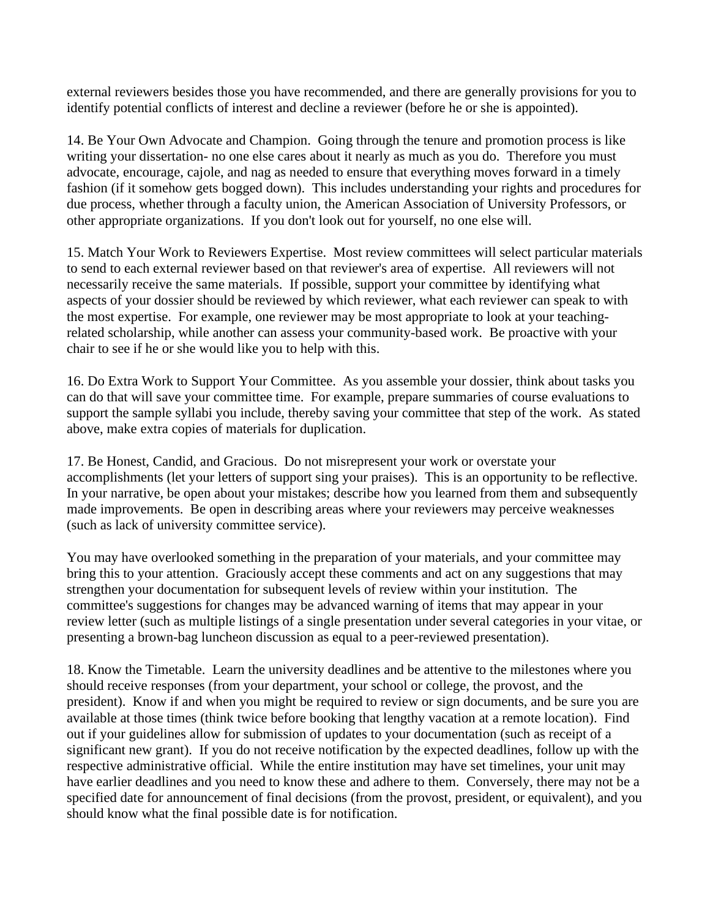external reviewers besides those you have recommended, and there are generally provisions for you to identify potential conflicts of interest and decline a reviewer (before he or she is appointed).

14. Be Your Own Advocate and Champion. Going through the tenure and promotion process is like writing your dissertation- no one else cares about it nearly as much as you do. Therefore you must advocate, encourage, cajole, and nag as needed to ensure that everything moves forward in a timely fashion (if it somehow gets bogged down). This includes understanding your rights and procedures for due process, whether through a faculty union, the American Association of University Professors, or other appropriate organizations. If you don't look out for yourself, no one else will.

15. Match Your Work to Reviewers Expertise. Most review committees will select particular materials to send to each external reviewer based on that reviewer's area of expertise. All reviewers will not necessarily receive the same materials. If possible, support your committee by identifying what aspects of your dossier should be reviewed by which reviewer, what each reviewer can speak to with the most expertise. For example, one reviewer may be most appropriate to look at your teachingrelated scholarship, while another can assess your community-based work. Be proactive with your chair to see if he or she would like you to help with this.

16. Do Extra Work to Support Your Committee. As you assemble your dossier, think about tasks you can do that will save your committee time. For example, prepare summaries of course evaluations to support the sample syllabi you include, thereby saving your committee that step of the work. As stated above, make extra copies of materials for duplication.

17. Be Honest, Candid, and Gracious. Do not misrepresent your work or overstate your accomplishments (let your letters of support sing your praises). This is an opportunity to be reflective. In your narrative, be open about your mistakes; describe how you learned from them and subsequently made improvements. Be open in describing areas where your reviewers may perceive weaknesses (such as lack of university committee service).

You may have overlooked something in the preparation of your materials, and your committee may bring this to your attention. Graciously accept these comments and act on any suggestions that may strengthen your documentation for subsequent levels of review within your institution. The committee's suggestions for changes may be advanced warning of items that may appear in your review letter (such as multiple listings of a single presentation under several categories in your vitae, or presenting a brown-bag luncheon discussion as equal to a peer-reviewed presentation).

18. Know the Timetable. Learn the university deadlines and be attentive to the milestones where you should receive responses (from your department, your school or college, the provost, and the president). Know if and when you might be required to review or sign documents, and be sure you are available at those times (think twice before booking that lengthy vacation at a remote location). Find out if your guidelines allow for submission of updates to your documentation (such as receipt of a significant new grant). If you do not receive notification by the expected deadlines, follow up with the respective administrative official. While the entire institution may have set timelines, your unit may have earlier deadlines and you need to know these and adhere to them. Conversely, there may not be a specified date for announcement of final decisions (from the provost, president, or equivalent), and you should know what the final possible date is for notification.